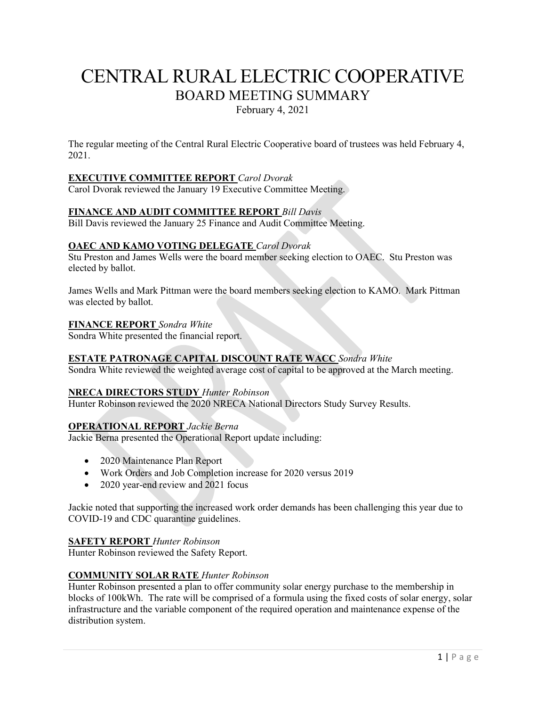# CENTRAL RURAL ELECTRIC COOPERATIVE BOARD MEETING SUMMARY

February 4, 2021

The regular meeting of the Central Rural Electric Cooperative board of trustees was held February 4, 2021.

# **EXECUTIVE COMMITTEE REPORT** *Carol Dvorak*

Carol Dvorak reviewed the January 19 Executive Committee Meeting.

### **FINANCE AND AUDIT COMMITTEE REPORT** *Bill Davis*

Bill Davis reviewed the January 25 Finance and Audit Committee Meeting.

### **OAEC AND KAMO VOTING DELEGATE** *Carol Dvorak*

Stu Preston and James Wells were the board member seeking election to OAEC. Stu Preston was elected by ballot.

James Wells and Mark Pittman were the board members seeking election to KAMO. Mark Pittman was elected by ballot.

#### **FINANCE REPORT** *Sondra White*

Sondra White presented the financial report.

### **ESTATE PATRONAGE CAPITAL DISCOUNT RATE WACC** *Sondra White*

Sondra White reviewed the weighted average cost of capital to be approved at the March meeting.

### **NRECA DIRECTORS STUDY** *Hunter Robinson*

Hunter Robinson reviewed the 2020 NRECA National Directors Study Survey Results.

### **OPERATIONAL REPORT** *Jackie Berna*

Jackie Berna presented the Operational Report update including:

- 2020 Maintenance Plan Report
- Work Orders and Job Completion increase for 2020 versus 2019
- 2020 year-end review and 2021 focus

Jackie noted that supporting the increased work order demands has been challenging this year due to COVID-19 and CDC quarantine guidelines.

#### **SAFETY REPORT** *Hunter Robinson*

Hunter Robinson reviewed the Safety Report.

### **COMMUNITY SOLAR RATE** *Hunter Robinson*

Hunter Robinson presented a plan to offer community solar energy purchase to the membership in blocks of 100kWh. The rate will be comprised of a formula using the fixed costs of solar energy, solar infrastructure and the variable component of the required operation and maintenance expense of the distribution system.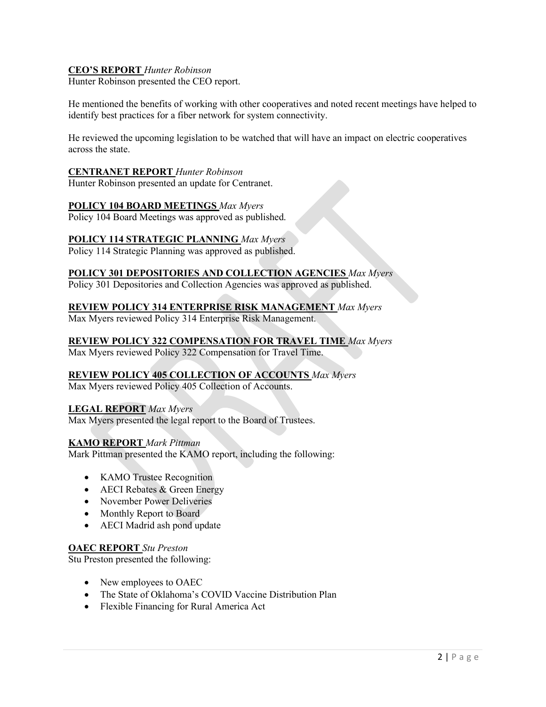# **CEO'S REPORT** *Hunter Robinson*

Hunter Robinson presented the CEO report.

He mentioned the benefits of working with other cooperatives and noted recent meetings have helped to identify best practices for a fiber network for system connectivity.

He reviewed the upcoming legislation to be watched that will have an impact on electric cooperatives across the state.

#### **CENTRANET REPORT** *Hunter Robinson*

Hunter Robinson presented an update for Centranet.

### **POLICY 104 BOARD MEETINGS** *Max Myers*

Policy 104 Board Meetings was approved as published.

### **POLICY 114 STRATEGIC PLANNING** *Max Myers*

Policy 114 Strategic Planning was approved as published.

### **POLICY 301 DEPOSITORIES AND COLLECTION AGENCIES** *Max Myers*

Policy 301 Depositories and Collection Agencies was approved as published.

### **REVIEW POLICY 314 ENTERPRISE RISK MANAGEMENT** *Max Myers*

Max Myers reviewed Policy 314 Enterprise Risk Management.

### **REVIEW POLICY 322 COMPENSATION FOR TRAVEL TIME** *Max Myers*

Max Myers reviewed Policy 322 Compensation for Travel Time.

### **REVIEW POLICY 405 COLLECTION OF ACCOUNTS** *Max Myers*

Max Myers reviewed Policy 405 Collection of Accounts.

### **LEGAL REPORT** *Max Myers*

Max Myers presented the legal report to the Board of Trustees.

### **KAMO REPORT** *Mark Pittman*

Mark Pittman presented the KAMO report, including the following:

- KAMO Trustee Recognition
- AECI Rebates & Green Energy
- November Power Deliveries
- Monthly Report to Board
- AECI Madrid ash pond update

### **OAEC REPORT** *Stu Preston*

Stu Preston presented the following:

- New employees to OAEC
- The State of Oklahoma's COVID Vaccine Distribution Plan
- Flexible Financing for Rural America Act